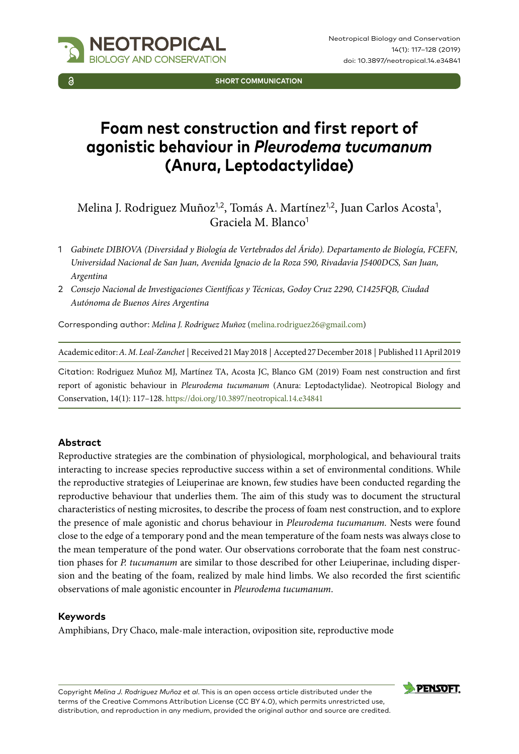

**SHORT COMMUNICATION**

# **Foam nest construction and first report of agonistic behaviour in** *Pleurodema tucumanum* **(Anura, Leptodactylidae)**

Melina J. Rodriguez Muñoz<sup>1,2</sup>, Tomás A. Martínez<sup>1,2</sup>, Juan Carlos Acosta<sup>1</sup>, Graciela M. Blanco<sup>1</sup>

- 1 *Gabinete DIBIOVA (Diversidad y Biología de Vertebrados del Árido). Departamento de Biología, FCEFN, Universidad Nacional de San Juan, Avenida Ignacio de la Roza 590, Rivadavia J5400DCS, San Juan, Argentina*
- 2 *Consejo Nacional de Investigaciones Científicas y Técnicas, Godoy Cruz 2290, C1425FQB, Ciudad Autónoma de Buenos Aires Argentina*

Corresponding author: *Melina J. Rodriguez Muñoz* [\(melina.rodriguez26@gmail.com](mailto:melina.rodriguez26@gmail.com))

Academic editor: *A. M. Leal-Zanchet* | Received 21 May 2018 | Accepted 27 December 2018 | Published 11 April 2019

Citation: Rodriguez Muñoz MJ, Martínez TA, Acosta JC, Blanco GM (2019) Foam nest construction and first report of agonistic behaviour in *Pleurodema tucumanum* (Anura: Leptodactylidae). Neotropical Biology and Conservation, 14(1): 117–128.<https://doi.org/10.3897/neotropical.14.e34841>

#### **Abstract**

Reproductive strategies are the combination of physiological, morphological, and behavioural traits interacting to increase species reproductive success within a set of environmental conditions. While the reproductive strategies of Leiuperinae are known, few studies have been conducted regarding the reproductive behaviour that underlies them. The aim of this study was to document the structural characteristics of nesting microsites, to describe the process of foam nest construction, and to explore the presence of male agonistic and chorus behaviour in *Pleurodema tucumanum.* Nests were found close to the edge of a temporary pond and the mean temperature of the foam nests was always close to the mean temperature of the pond water. Our observations corroborate that the foam nest construction phases for *P. tucumanum* are similar to those described for other Leiuperinae, including dispersion and the beating of the foam, realized by male hind limbs. We also recorded the first scientific observations of male agonistic encounter in *Pleurodema tucumanum*.

#### **Keywords**

Amphibians, Dry Chaco, male-male interaction, oviposition site, reproductive mode

Copyright *Melina J. Rodriguez Muñoz et al*. This is an open access article distributed under the terms of the [Creative Commons Attribution License \(CC BY 4.0\)](http://creativecommons.org/licenses/by/4.0/), which permits unrestricted use, distribution, and reproduction in any medium, provided the original author and source are credited.

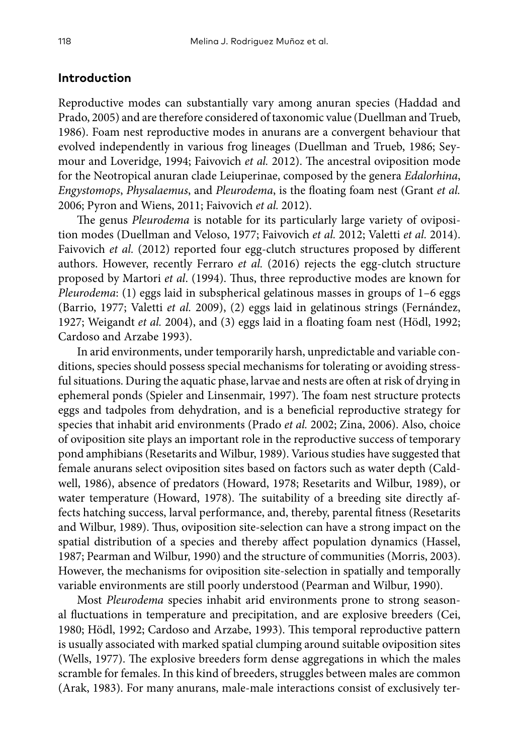#### **Introduction**

Reproductive modes can substantially vary among anuran species (Haddad and Prado, 2005) and are therefore considered of taxonomic value (Duellman and Trueb, 1986). Foam nest reproductive modes in anurans are a convergent behaviour that evolved independently in various frog lineages (Duellman and Trueb, 1986; Seymour and Loveridge, 1994; Faivovich *et al.* 2012). The ancestral oviposition mode for the Neotropical anuran clade Leiuperinae, composed by the genera *Edalorhina*, *Engystomops*, *Physalaemus*, and *Pleurodema*, is the floating foam nest (Grant *et al.* 2006; Pyron and Wiens, 2011; Faivovich *et al.* 2012).

The genus *Pleurodema* is notable for its particularly large variety of oviposition modes (Duellman and Veloso, 1977; Faivovich *et al.* 2012; Valetti *et al.* 2014). Faivovich *et al.* (2012) reported four egg-clutch structures proposed by different authors. However, recently Ferraro *et al.* (2016) rejects the egg-clutch structure proposed by Martori *et al*. (1994). Thus, three reproductive modes are known for *Pleurodema*: (1) eggs laid in subspherical gelatinous masses in groups of 1–6 eggs (Barrio, 1977; Valetti *et al.* 2009), (2) eggs laid in gelatinous strings (Fernández, 1927; Weigandt *et al.* 2004), and (3) eggs laid in a floating foam nest (Hödl, 1992; Cardoso and Arzabe 1993).

In arid environments, under temporarily harsh, unpredictable and variable conditions, species should possess special mechanisms for tolerating or avoiding stressful situations. During the aquatic phase, larvae and nests are often at risk of drying in ephemeral ponds (Spieler and Linsenmair, 1997). The foam nest structure protects eggs and tadpoles from dehydration, and is a beneficial reproductive strategy for species that inhabit arid environments (Prado *et al.* 2002; Zina, 2006). Also, choice of oviposition site plays an important role in the reproductive success of temporary pond amphibians (Resetarits and Wilbur, 1989). Various studies have suggested that female anurans select oviposition sites based on factors such as water depth (Caldwell, 1986), absence of predators (Howard, 1978; Resetarits and Wilbur, 1989), or water temperature (Howard, 1978). The suitability of a breeding site directly affects hatching success, larval performance, and, thereby, parental fitness (Resetarits and Wilbur, 1989). Thus, oviposition site-selection can have a strong impact on the spatial distribution of a species and thereby affect population dynamics (Hassel, 1987; Pearman and Wilbur, 1990) and the structure of communities (Morris, 2003). However, the mechanisms for oviposition site-selection in spatially and temporally variable environments are still poorly understood (Pearman and Wilbur, 1990).

Most *Pleurodema* species inhabit arid environments prone to strong seasonal fluctuations in temperature and precipitation, and are explosive breeders (Cei, 1980; Hödl, 1992; Cardoso and Arzabe, 1993). This temporal reproductive pattern is usually associated with marked spatial clumping around suitable oviposition sites (Wells, 1977). The explosive breeders form dense aggregations in which the males scramble for females. In this kind of breeders, struggles between males are common (Arak, 1983). For many anurans, male-male interactions consist of exclusively ter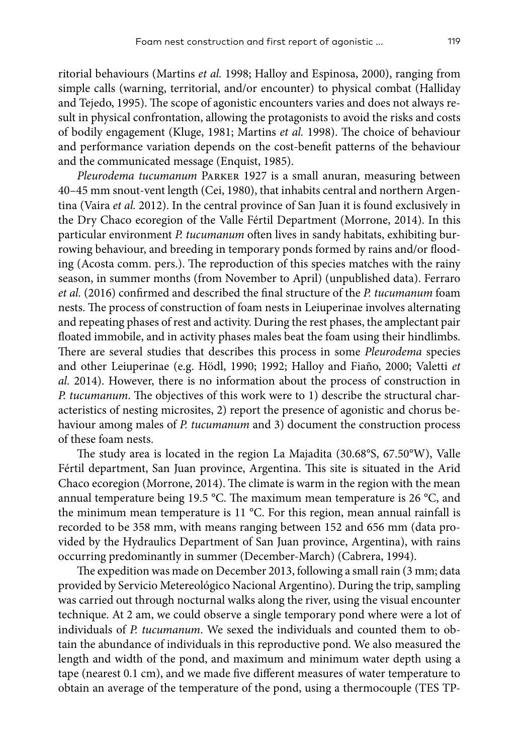ritorial behaviours (Martins *et al.* 1998; Halloy and Espinosa, 2000), ranging from simple calls (warning, territorial, and/or encounter) to physical combat (Halliday and Tejedo, 1995). The scope of agonistic encounters varies and does not always result in physical confrontation, allowing the protagonists to avoid the risks and costs of bodily engagement (Kluge, 1981; Martins *et al.* 1998). The choice of behaviour and performance variation depends on the cost-benefit patterns of the behaviour and the communicated message (Enquist, 1985).

*Pleurodema tucumanum* Parker 1927 is a small anuran, measuring between 40–45 mm snout-vent length (Cei, 1980), that inhabits central and northern Argentina (Vaira *et al.* 2012). In the central province of San Juan it is found exclusively in the Dry Chaco ecoregion of the Valle Fértil Department (Morrone, 2014). In this particular environment *P. tucumanum* often lives in sandy habitats, exhibiting burrowing behaviour, and breeding in temporary ponds formed by rains and/or flooding (Acosta comm. pers.). The reproduction of this species matches with the rainy season, in summer months (from November to April) (unpublished data). Ferraro *et al.* (2016) confirmed and described the final structure of the *P. tucumanum* foam nests. The process of construction of foam nests in Leiuperinae involves alternating and repeating phases of rest and activity. During the rest phases, the amplectant pair floated immobile, and in activity phases males beat the foam using their hindlimbs. There are several studies that describes this process in some *Pleurodema* species and other Leiuperinae (e.g. Hödl, 1990; 1992; Halloy and Fiaño, 2000; Valetti *et al.* 2014). However, there is no information about the process of construction in *P. tucumanum*. The objectives of this work were to 1) describe the structural characteristics of nesting microsites, 2) report the presence of agonistic and chorus behaviour among males of *P. tucumanum* and 3) document the construction process of these foam nests.

The study area is located in the region La Majadita (30.68°S, 67.50°W), Valle Fértil department, San Juan province, Argentina. This site is situated in the Arid Chaco ecoregion (Morrone, 2014). The climate is warm in the region with the mean annual temperature being 19.5 °C. The maximum mean temperature is 26 °C, and the minimum mean temperature is 11 °C. For this region, mean annual rainfall is recorded to be 358 mm, with means ranging between 152 and 656 mm (data provided by the Hydraulics Department of San Juan province, Argentina), with rains occurring predominantly in summer (December-March) (Cabrera, 1994).

The expedition was made on December 2013, following a small rain (3 mm; data provided by Servicio Metereológico Nacional Argentino). During the trip, sampling was carried out through nocturnal walks along the river, using the visual encounter technique. At 2 am, we could observe a single temporary pond where were a lot of individuals of *P. tucumanum*. We sexed the individuals and counted them to obtain the abundance of individuals in this reproductive pond. We also measured the length and width of the pond, and maximum and minimum water depth using a tape (nearest 0.1 cm), and we made five different measures of water temperature to obtain an average of the temperature of the pond, using a thermocouple (TES TP-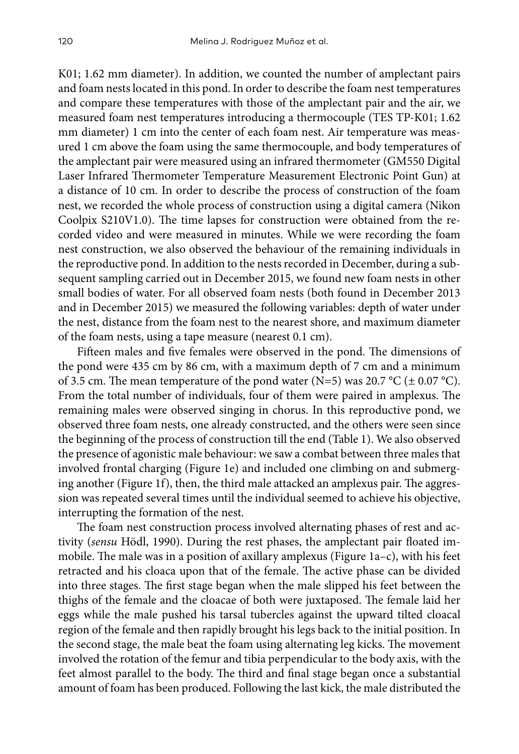K01; 1.62 mm diameter). In addition, we counted the number of amplectant pairs and foam nests located in this pond. In order to describe the foam nest temperatures and compare these temperatures with those of the amplectant pair and the air, we measured foam nest temperatures introducing a thermocouple (TES TP-K01; 1.62 mm diameter) 1 cm into the center of each foam nest. Air temperature was measured 1 cm above the foam using the same thermocouple, and body temperatures of the amplectant pair were measured using an infrared thermometer (GM550 Digital Laser Infrared Thermometer Temperature Measurement Electronic Point Gun) at a distance of 10 cm. In order to describe the process of construction of the foam nest, we recorded the whole process of construction using a digital camera (Nikon Coolpix S210V1.0). The time lapses for construction were obtained from the recorded video and were measured in minutes. While we were recording the foam nest construction, we also observed the behaviour of the remaining individuals in the reproductive pond. In addition to the nests recorded in December, during a subsequent sampling carried out in December 2015, we found new foam nests in other small bodies of water. For all observed foam nests (both found in December 2013 and in December 2015) we measured the following variables: depth of water under the nest, distance from the foam nest to the nearest shore, and maximum diameter of the foam nests, using a tape measure (nearest 0.1 cm).

Fifteen males and five females were observed in the pond. The dimensions of the pond were 435 cm by 86 cm, with a maximum depth of 7 cm and a minimum of 3.5 cm. The mean temperature of the pond water (N=5) was 20.7 °C ( $\pm$  0.07 °C). From the total number of individuals, four of them were paired in amplexus. The remaining males were observed singing in chorus. In this reproductive pond, we observed three foam nests, one already constructed, and the others were seen since the beginning of the process of construction till the end (Table 1). We also observed the presence of agonistic male behaviour: we saw a combat between three males that involved frontal charging (Figure 1e) and included one climbing on and submerging another (Figure 1f), then, the third male attacked an amplexus pair. The aggression was repeated several times until the individual seemed to achieve his objective, interrupting the formation of the nest.

The foam nest construction process involved alternating phases of rest and activity (*sensu* Hödl, 1990). During the rest phases, the amplectant pair floated immobile. The male was in a position of axillary amplexus (Figure 1a–c), with his feet retracted and his cloaca upon that of the female. The active phase can be divided into three stages. The first stage began when the male slipped his feet between the thighs of the female and the cloacae of both were juxtaposed. The female laid her eggs while the male pushed his tarsal tubercles against the upward tilted cloacal region of the female and then rapidly brought his legs back to the initial position. In the second stage, the male beat the foam using alternating leg kicks. The movement involved the rotation of the femur and tibia perpendicular to the body axis, with the feet almost parallel to the body. The third and final stage began once a substantial amount of foam has been produced. Following the last kick, the male distributed the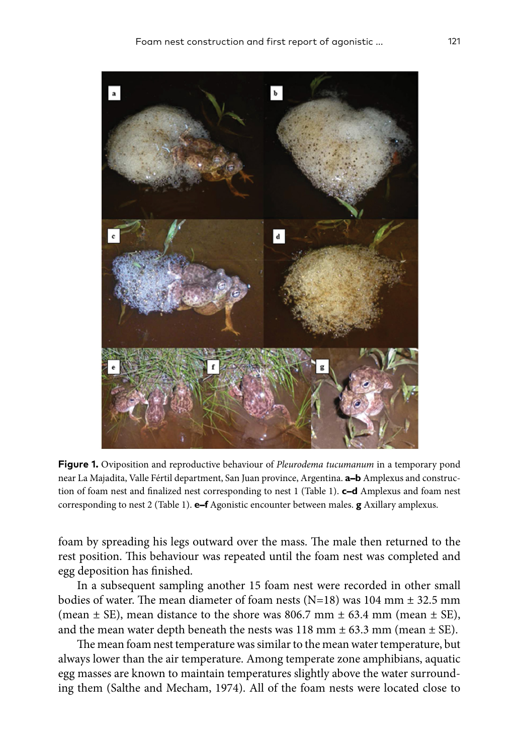

**Figure 1.** Oviposition and reproductive behaviour of *Pleurodema tucumanum* in a temporary pond near La Majadita, Valle Fértil department, San Juan province, Argentina. **a–b** Amplexus and construction of foam nest and finalized nest corresponding to nest 1 (Table 1). **c–d** Amplexus and foam nest corresponding to nest 2 (Table 1). **e–f** Agonistic encounter between males. **g** Axillary amplexus.

foam by spreading his legs outward over the mass. The male then returned to the rest position. This behaviour was repeated until the foam nest was completed and egg deposition has finished.

In a subsequent sampling another 15 foam nest were recorded in other small bodies of water. The mean diameter of foam nests (N=18) was 104 mm ± 32.5 mm (mean  $\pm$  SE), mean distance to the shore was 806.7 mm  $\pm$  63.4 mm (mean  $\pm$  SE), and the mean water depth beneath the nests was  $118$  mm  $\pm$  63.3 mm (mean  $\pm$  SE).

The mean foam nest temperature was similar to the mean water temperature, but always lower than the air temperature. Among temperate zone amphibians, aquatic egg masses are known to maintain temperatures slightly above the water surrounding them (Salthe and Mecham, 1974). All of the foam nests were located close to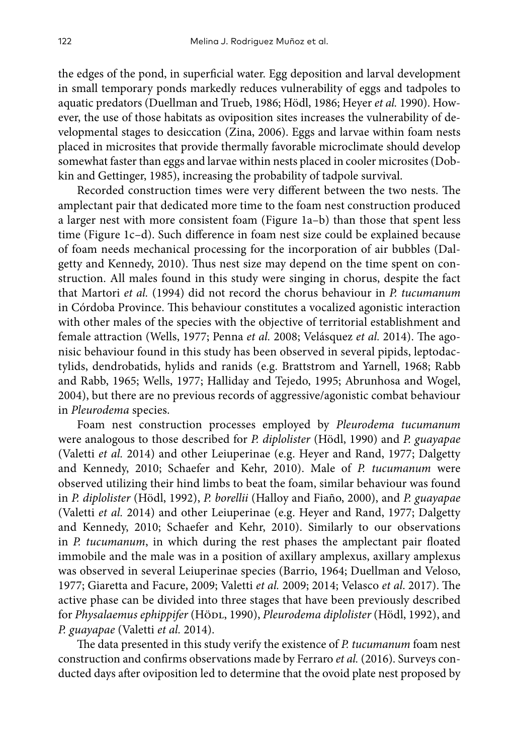the edges of the pond, in superficial water. Egg deposition and larval development in small temporary ponds markedly reduces vulnerability of eggs and tadpoles to aquatic predators (Duellman and Trueb, 1986; Hödl, 1986; Heyer *et al.* 1990). However, the use of those habitats as oviposition sites increases the vulnerability of developmental stages to desiccation (Zina, 2006). Eggs and larvae within foam nests placed in microsites that provide thermally favorable microclimate should develop somewhat faster than eggs and larvae within nests placed in cooler microsites (Dobkin and Gettinger, 1985), increasing the probability of tadpole survival.

Recorded construction times were very different between the two nests. The amplectant pair that dedicated more time to the foam nest construction produced a larger nest with more consistent foam (Figure 1a–b) than those that spent less time (Figure 1c–d). Such difference in foam nest size could be explained because of foam needs mechanical processing for the incorporation of air bubbles (Dalgetty and Kennedy, 2010). Thus nest size may depend on the time spent on construction. All males found in this study were singing in chorus, despite the fact that Martori *et al.* (1994) did not record the chorus behaviour in *P. tucumanum* in Córdoba Province. This behaviour constitutes a vocalized agonistic interaction with other males of the species with the objective of territorial establishment and female attraction (Wells, 1977; Penna *et al.* 2008; Velásquez *et al.* 2014). The agonisic behaviour found in this study has been observed in several pipids, leptodactylids, dendrobatids, hylids and ranids (e.g. Brattstrom and Yarnell, 1968; Rabb and Rabb, 1965; Wells, 1977; Halliday and Tejedo, 1995; Abrunhosa and Wogel, 2004), but there are no previous records of aggressive/agonistic combat behaviour in *Pleurodema* species.

Foam nest construction processes employed by *Pleurodema tucumanum* were analogous to those described for *P. diplolister* (Hödl, 1990) and *P. guayapae* (Valetti *et al.* 2014) and other Leiuperinae (e.g. Heyer and Rand, 1977; Dalgetty and Kennedy, 2010; Schaefer and Kehr, 2010). Male of *P. tucumanum* were observed utilizing their hind limbs to beat the foam, similar behaviour was found in *P. diplolister* (Hödl, 1992), *P. borellii* (Halloy and Fiaño, 2000), and *P. guayapae* (Valetti *et al.* 2014) and other Leiuperinae (e.g. Heyer and Rand, 1977; Dalgetty and Kennedy, 2010; Schaefer and Kehr, 2010). Similarly to our observations in *P. tucumanum*, in which during the rest phases the amplectant pair floated immobile and the male was in a position of axillary amplexus, axillary amplexus was observed in several Leiuperinae species (Barrio, 1964; Duellman and Veloso, 1977; Giaretta and Facure, 2009; Valetti *et al.* 2009; 2014; Velasco *et al*. 2017). The active phase can be divided into three stages that have been previously described for *Physalaemus ephippifer* (Hödl, 1990), *Pleurodema diplolister* (Hödl, 1992), and *P. guayapae* (Valetti *et al.* 2014).

The data presented in this study verify the existence of *P. tucumanum* foam nest construction and confirms observations made by Ferraro *et al.* (2016). Surveys conducted days after oviposition led to determine that the ovoid plate nest proposed by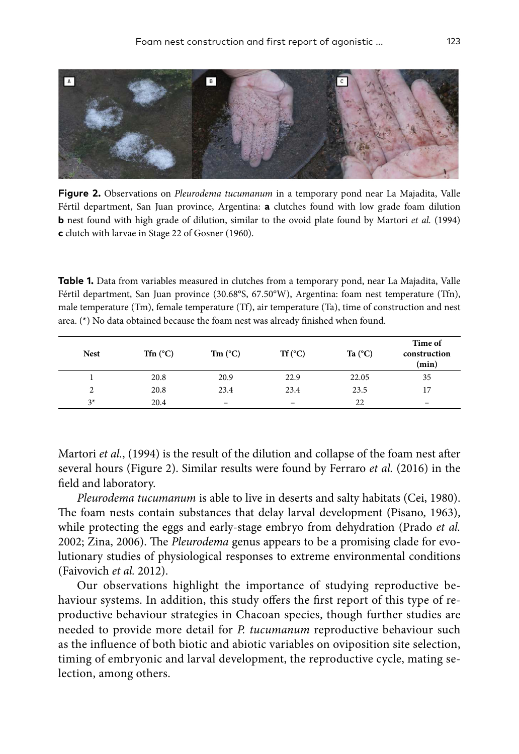

**Figure 2.** Observations on *Pleurodema tucumanum* in a temporary pond near La Majadita, Valle Fértil department, San Juan province, Argentina: **a** clutches found with low grade foam dilution **b** nest found with high grade of dilution, similar to the ovoid plate found by Martori *et al.* (1994) **c** clutch with larvae in Stage 22 of Gosner (1960).

**Table 1.** Data from variables measured in clutches from a temporary pond, near La Majadita, Valle Fértil department, San Juan province (30.68°S, 67.50°W), Argentina: foam nest temperature (Tfn), male temperature (Tm), female temperature (Tf), air temperature (Ta), time of construction and nest area. (\*) No data obtained because the foam nest was already finished when found.

| <b>Nest</b>    | Tfn $(^{\circ}C)$ | $Tm$ (°C)                | $Tf(^{\circ}C)$          | Ta $(^{\circ}C)$ | Time of<br>construction<br>(min) |
|----------------|-------------------|--------------------------|--------------------------|------------------|----------------------------------|
|                | 20.8              | 20.9                     | 22.9                     | 22.05            | 35                               |
| $\overline{c}$ | 20.8              | 23.4                     | 23.4                     | 23.5             | 17                               |
| $3*$           | 20.4              | $\overline{\phantom{m}}$ | $\overline{\phantom{m}}$ | 22               | $\qquad \qquad$                  |

Martori *et al.*, (1994) is the result of the dilution and collapse of the foam nest after several hours (Figure 2). Similar results were found by Ferraro *et al.* (2016) in the field and laboratory.

*Pleurodema tucumanum* is able to live in deserts and salty habitats (Cei, 1980). The foam nests contain substances that delay larval development (Pisano, 1963), while protecting the eggs and early-stage embryo from dehydration (Prado *et al.* 2002; Zina, 2006). The *Pleurodema* genus appears to be a promising clade for evolutionary studies of physiological responses to extreme environmental conditions (Faivovich *et al.* 2012).

Our observations highlight the importance of studying reproductive behaviour systems. In addition, this study offers the first report of this type of reproductive behaviour strategies in Chacoan species, though further studies are needed to provide more detail for *P. tucumanum* reproductive behaviour such as the influence of both biotic and abiotic variables on oviposition site selection, timing of embryonic and larval development, the reproductive cycle, mating selection, among others.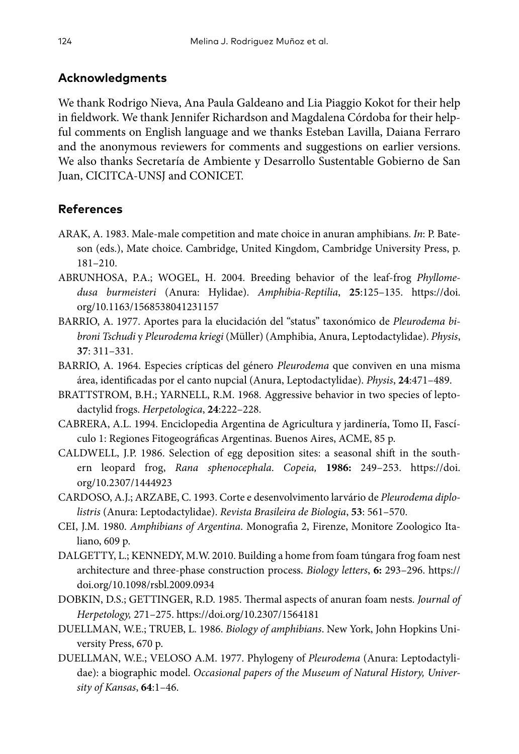## **Acknowledgments**

We thank Rodrigo Nieva, Ana Paula Galdeano and Lia Piaggio Kokot for their help in fieldwork. We thank Jennifer Richardson and Magdalena Córdoba for their helpful comments on English language and we thanks Esteban Lavilla, Daiana Ferraro and the anonymous reviewers for comments and suggestions on earlier versions. We also thanks Secretaría de Ambiente y Desarrollo Sustentable Gobierno de San Juan, CICITCA-UNSJ and CONICET.

## **References**

- ARAK, A. 1983. Male-male competition and mate choice in anuran amphibians. *In*: P. Bateson (eds.), Mate choice. Cambridge, United Kingdom, Cambridge University Press, p. 181–210.
- ABRUNHOSA, P.A.; WOGEL, H. 2004. Breeding behavior of the leaf-frog *Phyllomedusa burmeisteri* (Anura: Hylidae). *Amphibia-Reptilia*, **25**:125–135. [https://doi.](https://doi.org/10.1163/1568538041231157) [org/10.1163/1568538041231157](https://doi.org/10.1163/1568538041231157)
- BARRIO, A. 1977. Aportes para la elucidación del "status" taxonómico de *Pleurodema bibroni Tschudi* y *Pleurodema kriegi* (Müller) (Amphibia, Anura, Leptodactylidae). *Physis*, **37**: 311–331.
- BARRIO, A. 1964. Especies crípticas del género *Pleurodema* que conviven en una misma área, identificadas por el canto nupcial (Anura, Leptodactylidae). *Physis*, **24**:471–489.
- BRATTSTROM, B.H.; YARNELL, R.M. 1968. Aggressive behavior in two species of leptodactylid frogs. *Herpetologica*, **24**:222–228.
- CABRERA, A.L. 1994. Enciclopedia Argentina de Agricultura y jardinería, Tomo II, Fascículo 1: Regiones Fitogeográficas Argentinas. Buenos Aires, ACME, 85 p.
- CALDWELL, J.P. 1986. Selection of egg deposition sites: a seasonal shift in the southern leopard frog, *Rana sphenocephala*. *Copeia,* **1986:** 249–253. [https://doi.](https://doi.org/10.2307/1444923) [org/10.2307/1444923](https://doi.org/10.2307/1444923)
- CARDOSO, A.J.; ARZABE, C. 1993. Corte e desenvolvimento larvário de *Pleurodema diplolistris* (Anura: Leptodactylidae). *Revista Brasileira de Biologia*, **53**: 561–570.
- CEI, J.M. 1980. *Amphibians of Argentina*. Monografia 2, Firenze, Monitore Zoologico Italiano, 609 p.
- DALGETTY, L.; KENNEDY, M.W. 2010. Building a home from foam túngara frog foam nest architecture and three-phase construction process. *Biology letters*, **6:** 293–296. [https://](https://doi.org/10.1098/rsbl.2009.0934) [doi.org/10.1098/rsbl.2009.0934](https://doi.org/10.1098/rsbl.2009.0934)
- DOBKIN, D.S.; GETTINGER, R.D. 1985. Thermal aspects of anuran foam nests. *Journal of Herpetology,* 271–275.<https://doi.org/10.2307/1564181>
- DUELLMAN, W.E.; TRUEB, L. 1986. *Biology of amphibians*. New York, John Hopkins University Press, 670 p.
- DUELLMAN, W.E.; VELOSO A.M. 1977. Phylogeny of *Pleurodema* (Anura: Leptodactylidae): a biographic model. *Occasional papers of the Museum of Natural History, University of Kansas*, **64**:1–46.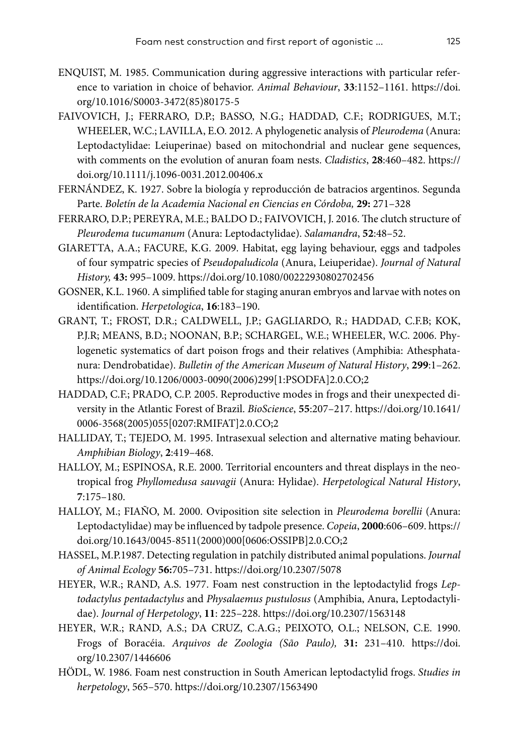- ENQUIST, M. 1985. Communication during aggressive interactions with particular reference to variation in choice of behavior. *Animal Behaviour*, **33**:1152–1161. [https://doi.](https://doi.org/10.1016/S0003-3472(85)80175-5) [org/10.1016/S0003-3472\(85\)80175-5](https://doi.org/10.1016/S0003-3472(85)80175-5)
- FAIVOVICH, J.; FERRARO, D.P.; BASSO, N.G.; HADDAD, C.F.; RODRIGUES, M.T.; WHEELER, W.C.; LAVILLA, E.O. 2012. A phylogenetic analysis of *Pleurodema* (Anura: Leptodactylidae: Leiuperinae) based on mitochondrial and nuclear gene sequences, with comments on the evolution of anuran foam nests. *Cladistics*, **28**:460–482. [https://](https://doi.org/10.1111/j.1096-0031.2012.00406.x) [doi.org/10.1111/j.1096-0031.2012.00406.x](https://doi.org/10.1111/j.1096-0031.2012.00406.x)
- FERNÁNDEZ, K. 1927. Sobre la biología y reproducción de batracios argentinos. Segunda Parte. *Boletín de la Academia Nacional en Ciencias en Córdoba,* **29:** 271–328
- FERRARO, D.P.; PEREYRA, M.E.; BALDO D.; FAIVOVICH, J. 2016. The clutch structure of *Pleurodema tucumanum* (Anura: Leptodactylidae). *Salamandra*, **52**:48–52.
- GIARETTA, A.A.; FACURE, K.G. 2009. Habitat, egg laying behaviour, eggs and tadpoles of four sympatric species of *Pseudopaludicola* (Anura, Leiuperidae). *Journal of Natural History,* **43:** 995–1009. <https://doi.org/10.1080/00222930802702456>
- GOSNER, K.L. 1960. A simplified table for staging anuran embryos and larvae with notes on identification. *Herpetologica*, **16**:183–190.
- GRANT, T.; FROST, D.R.; CALDWELL, J.P.; GAGLIARDO, R.; HADDAD, C.F.B; KOK, P.J.R; MEANS, B.D.; NOONAN, B.P.; SCHARGEL, W.E.; WHEELER, W.C. 2006. Phylogenetic systematics of dart poison frogs and their relatives (Amphibia: Athesphatanura: Dendrobatidae). *Bulletin of the American Museum of Natural History*, **299**:1–262. [https://doi.org/10.1206/0003-0090\(2006\)299\[1:PSODFA\]2.0.CO;2](https://doi.org/10.1206/0003-0090(2006)299%5B1:PSODFA%5D2.0.CO;2)
- HADDAD, C.F.; PRADO, C.P. 2005. Reproductive modes in frogs and their unexpected diversity in the Atlantic Forest of Brazil. *BioScience*, **55**:207–217. [https://doi.org/10.1641/](https://doi.org/10.1641/0006-3568(2005)055%5B0207:RMIFAT%5D2.0.CO;2) [0006-3568\(2005\)055\[0207:RMIFAT\]2.0.CO;2](https://doi.org/10.1641/0006-3568(2005)055%5B0207:RMIFAT%5D2.0.CO;2)
- HALLIDAY, T.; TEJEDO, M. 1995. Intrasexual selection and alternative mating behaviour. *Amphibian Biology*, **2**:419–468.
- HALLOY, M.; ESPINOSA, R.E. 2000. Territorial encounters and threat displays in the neotropical frog *Phyllomedusa sauvagii* (Anura: Hylidae). *Herpetological Natural History*, **7**:175–180.
- HALLOY, M.; FIAÑO, M. 2000. Oviposition site selection in *Pleurodema borellii* (Anura: Leptodactylidae) may be influenced by tadpole presence. *Copeia*, **2000**:606–609. [https://](https://doi.org/10.1643/0045-8511(2000)000%5B0606:OSSIPB%5D2.0.CO;2) [doi.org/10.1643/0045-8511\(2000\)000\[0606:OSSIPB\]2.0.CO;2](https://doi.org/10.1643/0045-8511(2000)000%5B0606:OSSIPB%5D2.0.CO;2)
- HASSEL, M.P.1987. Detecting regulation in patchily distributed animal populations. *Journal of Animal Ecology* **56:**705–731. <https://doi.org/10.2307/5078>
- HEYER, W.R.; RAND, A.S. 1977. Foam nest construction in the leptodactylid frogs *Leptodactylus pentadactylus* and *Physalaemus pustulosus* (Amphibia, Anura, Leptodactylidae). *Journal of Herpetology*, **11**: 225–228.<https://doi.org/10.2307/1563148>
- HEYER, W.R.; RAND, A.S.; DA CRUZ, C.A.G.; PEIXOTO, O.L.; NELSON, C.E. 1990. Frogs of Boracéia. *Arquivos de Zoologia (São Paulo),* **31:** 231–410. [https://doi.](https://doi.org/10.2307/1446606) [org/10.2307/1446606](https://doi.org/10.2307/1446606)
- HÖDL, W. 1986. Foam nest construction in South American leptodactylid frogs. *Studies in herpetology*, 565–570. <https://doi.org/10.2307/1563490>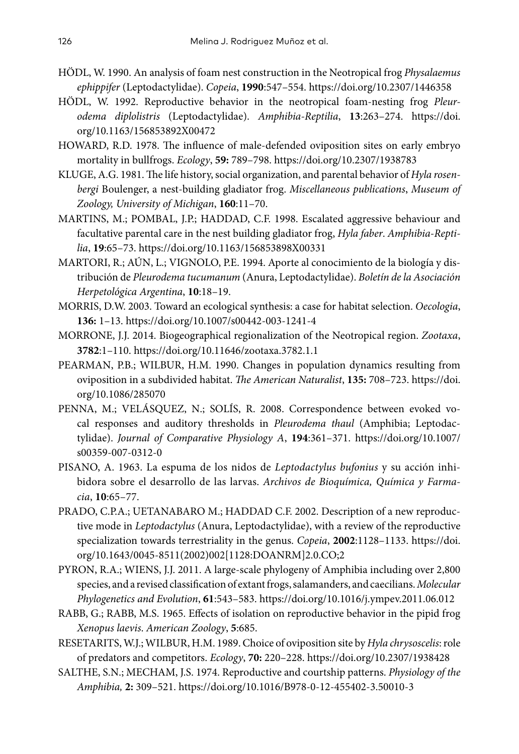- HÖDL, W. 1990. An analysis of foam nest construction in the Neotropical frog *Physalaemus ephippifer* (Leptodactylidae). *Copeia*, **1990**:547–554. <https://doi.org/10.2307/1446358>
- HÖDL, W. 1992. Reproductive behavior in the neotropical foam-nesting frog *Pleurodema diplolistris* (Leptodactylidae). *Amphibia-Reptilia*, **13**:263–274. [https://doi.](https://doi.org/10.1163/156853892X00472) [org/10.1163/156853892X00472](https://doi.org/10.1163/156853892X00472)
- HOWARD, R.D. 1978. The influence of male‐defended oviposition sites on early embryo mortality in bullfrogs. *Ecology*, **59:** 789–798.<https://doi.org/10.2307/1938783>
- KLUGE, A.G. 1981. The life history, social organization, and parental behavior of *Hyla rosenbergi* Boulenger, a nest-building gladiator frog. *Miscellaneous publications*, *Museum of Zoology, University of Michigan*, **160**:11–70.
- MARTINS, M.; POMBAL, J.P.; HADDAD, C.F. 1998. Escalated aggressive behaviour and facultative parental care in the nest building gladiator frog, *Hyla faber*. *Amphibia-Reptilia*, **19**:65–73.<https://doi.org/10.1163/156853898X00331>
- MARTORI, R.; AÚN, L.; VIGNOLO, P.E. 1994. Aporte al conocimiento de la biología y distribución de *Pleurodema tucumanum* (Anura, Leptodactylidae). *Boletín de la Asociación Herpetológica Argentina*, **10**:18–19.
- MORRIS, D.W. 2003. Toward an ecological synthesis: a case for habitat selection. *Oecologia*, **136:** 1–13.<https://doi.org/10.1007/s00442-003-1241-4>
- MORRONE, J.J. 2014. Biogeographical regionalization of the Neotropical region. *Zootaxa*, **3782**:1–110. <https://doi.org/10.11646/zootaxa.3782.1.1>
- PEARMAN, P.B.; WILBUR, H.M. 1990. Changes in population dynamics resulting from oviposition in a subdivided habitat. *The American Naturalist*, **135:** 708–723. [https://doi.](https://doi.org/10.1086/285070) [org/10.1086/285070](https://doi.org/10.1086/285070)
- PENNA, M.; VELÁSQUEZ, N.; SOLÍS, R. 2008. Correspondence between evoked vocal responses and auditory thresholds in *Pleurodema thaul* (Amphibia; Leptodactylidae). *Journal of Comparative Physiology A*, **194**:361–371. [https://doi.org/10.1007/](https://doi.org/10.1007/s00359-007-0312-0) [s00359-007-0312-0](https://doi.org/10.1007/s00359-007-0312-0)
- PISANO, A. 1963. La espuma de los nidos de *Leptodactylus bufonius* y su acción inhibidora sobre el desarrollo de las larvas. *Archivos de Bioquímica, Química y Farmacia*, **10**:65–77.
- PRADO, C.P.A.; UETANABARO M.; HADDAD C.F. 2002. Description of a new reproductive mode in *Leptodactylus* (Anura, Leptodactylidae), with a review of the reproductive specialization towards terrestriality in the genus. *Copeia*, **2002**:1128–1133. [https://doi.](https://doi.org/10.1643/0045-8511(2002)002%5B1128:DOANRM%5D2.0.CO;2) [org/10.1643/0045-8511\(2002\)002\[1128:DOANRM\]2.0.CO;2](https://doi.org/10.1643/0045-8511(2002)002%5B1128:DOANRM%5D2.0.CO;2)
- PYRON, R.A.; WIENS, J.J. 2011. A large-scale phylogeny of Amphibia including over 2,800 species, and a revised classification of extant frogs, salamanders, and caecilians. *Molecular Phylogenetics and Evolution*, **61**:543–583. <https://doi.org/10.1016/j.ympev.2011.06.012>
- RABB, G.; RABB, M.S. 1965. Effects of isolation on reproductive behavior in the pipid frog *Xenopus laevis*. *American Zoology*, **5**:685.
- RESETARITS, W.J.; WILBUR, H.M. 1989. Choice of oviposition site by *Hyla chrysoscelis*: role of predators and competitors. *Ecology*, **70:** 220–228.<https://doi.org/10.2307/1938428>
- SALTHE, S.N.; MECHAM, J.S. 1974. Reproductive and courtship patterns. *Physiology of the Amphibia,* **2:** 309–521.<https://doi.org/10.1016/B978-0-12-455402-3.50010-3>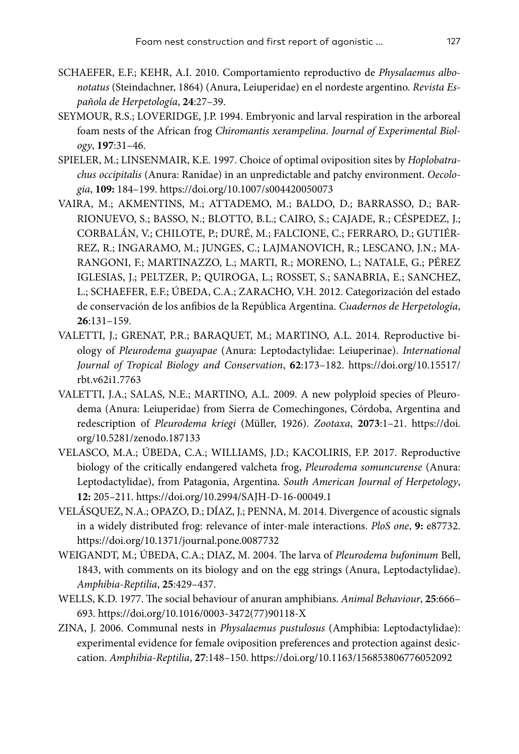- SCHAEFER, E.F.; KEHR, A.I. 2010. Comportamiento reproductivo de *Physalaemus albonotatus* (Steindachner, 1864) (Anura, Leiuperidae) en el nordeste argentino. *Revista Española de Herpetología*, **24**:27–39.
- SEYMOUR, R.S.; LOVERIDGE, J.P. 1994. Embryonic and larval respiration in the arboreal foam nests of the African frog *Chiromantis xerampelina*. *Journal of Experimental Biology*, **197**:31–46.
- SPIELER, M.; LINSENMAIR, K.E. 1997. Choice of optimal oviposition sites by *Hoplobatrachus occipitalis* (Anura: Ranidae) in an unpredictable and patchy environment. *Oecologia*, **109:** 184–199.<https://doi.org/10.1007/s004420050073>
- VAIRA, M.; AKMENTINS, M.; ATTADEMO, M.; BALDO, D.; BARRASSO, D.; BAR-RIONUEVO, S.; BASSO, N.; BLOTTO, B.L.; CAIRO, S.; CAJADE, R.; CÉSPEDEZ, J.; CORBALÁN, V.; CHILOTE, P.; DURÉ, M.; FALCIONE, C.; FERRARO, D.; GUTIÉR-REZ, R.; INGARAMO, M.; JUNGES, C.; LAJMANOVICH, R.; LESCANO, J.N.; MA-RANGONI, F.; MARTINAZZO, L.; MARTI, R.; MORENO, L.; NATALE, G.; PÉREZ IGLESIAS, J.; PELTZER, P.; QUIROGA, L.; ROSSET, S.; SANABRIA, E.; SANCHEZ, L.; SCHAEFER, E.F.; ÚBEDA, C.A.; ZARACHO, V.H. 2012. Categorización del estado de conservación de los anfibios de la República Argentina. *Cuadernos de Herpetología*, **26**:131–159.
- VALETTI, J.; GRENAT, P.R.; BARAQUET, M.; MARTINO, A.L. 2014. Reproductive biology of *Pleurodema guayapae* (Anura: Leptodactylidae: Leiuperinae). *International Journal of Tropical Biology and Conservation*, **62**:173–182. [https://doi.org/10.15517/](https://doi.org/10.15517/rbt.v62i1.7763) [rbt.v62i1.7763](https://doi.org/10.15517/rbt.v62i1.7763)
- VALETTI, J.A.; SALAS, N.E.; MARTINO, A.L. 2009. A new polyploid species of Pleurodema (Anura: Leiuperidae) from Sierra de Comechingones, Córdoba, Argentina and redescription of *Pleurodema kriegi* (Müller, 1926). *Zootaxa*, **2073**:1–21. [https://doi.](https://doi.org/10.5281/zenodo.187133) [org/10.5281/zenodo.187133](https://doi.org/10.5281/zenodo.187133)
- VELASCO, M.A.; ÚBEDA, C.A.; WILLIAMS, J.D.; KACOLIRIS, F.P. 2017. Reproductive biology of the critically endangered valcheta frog, *Pleurodema somuncurense* (Anura: Leptodactylidae), from Patagonia, Argentina. *South American Journal of Herpetology*, **12:** 205–211. <https://doi.org/10.2994/SAJH-D-16-00049.1>
- VELÁSQUEZ, N.A.; OPAZO, D.; DÍAZ, J.; PENNA, M. 2014. Divergence of acoustic signals in a widely distributed frog: relevance of inter-male interactions. *PloS one*, **9:** e87732. <https://doi.org/10.1371/journal.pone.0087732>
- WEIGANDT, M.; ÚBEDA, C.A.; DIAZ, M. 2004. The larva of *Pleurodema bufoninum* Bell, 1843, with comments on its biology and on the egg strings (Anura, Leptodactylidae). *Amphibia-Reptilia*, **25**:429–437.
- WELLS, K.D. 1977. The social behaviour of anuran amphibians. *Animal Behaviour*, **25**:666– 693. [https://doi.org/10.1016/0003-3472\(77\)90118-X](https://doi.org/10.1016/0003-3472(77)90118-X)
- ZINA, J. 2006. Communal nests in *Physalaemus pustulosus* (Amphibia: Leptodactylidae): experimental evidence for female oviposition preferences and protection against desiccation. *Amphibia-Reptilia*, **27**:148–150.<https://doi.org/10.1163/156853806776052092>